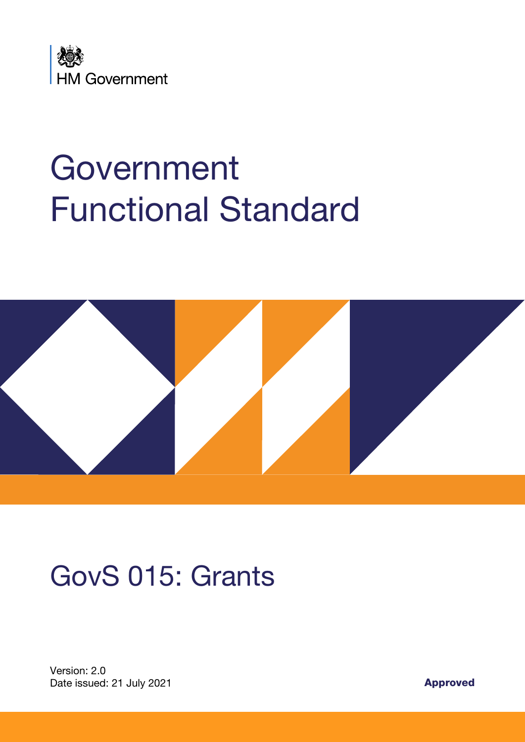

# Government Functional Standard



# GovS 015: Grants

Version: 2.0 Date issued: 21 July 2021 **Approved**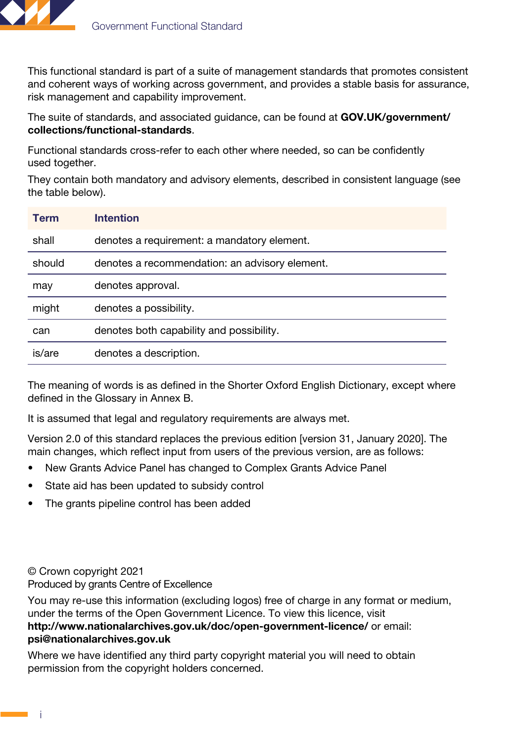

This functional standard is part of a suite of management standards that promotes consistent and coherent ways of working across government, and provides a stable basis for assurance, risk management and capability improvement.

The suite of standards, and associated guidance, can be found at [GOV.UK/government/](http://GOV.UK/government/collections/functional-standards) [collections/functional-standards](http://GOV.UK/government/collections/functional-standards).

Functional standards cross-refer to each other where needed, so can be confidently used together.

They contain both mandatory and advisory elements, described in consistent language (see the table below).

| <b>Term</b> | <b>Intention</b>                               |
|-------------|------------------------------------------------|
| shall       | denotes a requirement: a mandatory element.    |
| should      | denotes a recommendation: an advisory element. |
| may         | denotes approval.                              |
| might       | denotes a possibility.                         |
| can         | denotes both capability and possibility.       |
| is/are      | denotes a description.                         |

The meaning of words is as defined in the Shorter Oxford English Dictionary, except where defined in the Glossary in Annex B.

It is assumed that legal and regulatory requirements are always met.

Version 2.0 of this standard replaces the previous edition [version 31, January 2020]. The main changes, which reflect input from users of the previous version, are as follows:

- New Grants Advice Panel has changed to Complex Grants Advice Panel
- State aid has been updated to subsidy control
- The grants pipeline control has been added

© Crown copyright 2021

Produced by grants Centre of Excellence

You may re-use this information (excluding logos) free of charge in any format or medium, under the terms of the Open Government Licence. To view this licence, visit <http://www.nationalarchives.gov.uk/doc/open-government-licence/> or email: [psi@nationalarchives.gov.uk](mailto:psi%40nationalarchives.gov.uk?subject=)

Where we have identified any third party copyright material you will need to obtain permission from the copyright holders concerned.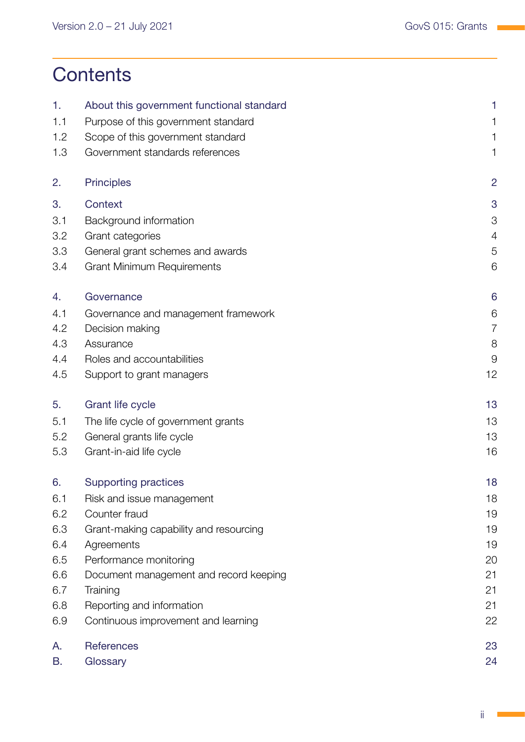# **Contents**

| 1.  | About this government functional standard | 1              |
|-----|-------------------------------------------|----------------|
| 1.1 | Purpose of this government standard       | 1              |
| 1.2 | Scope of this government standard         | 1              |
| 1.3 | Government standards references           | 1              |
| 2.  | <b>Principles</b>                         | $\overline{2}$ |
| 3.  | Context                                   | 3              |
| 3.1 | Background information                    | 3              |
| 3.2 | Grant categories                          | $\overline{4}$ |
| 3.3 | General grant schemes and awards          | 5              |
| 3.4 | <b>Grant Minimum Requirements</b>         | 6              |
| 4.  | Governance                                | 6              |
| 4.1 | Governance and management framework       | 6              |
| 4.2 | Decision making                           | $\overline{7}$ |
| 4.3 | Assurance                                 | 8              |
| 4.4 | Roles and accountabilities                | 9              |
| 4.5 | Support to grant managers                 | 12             |
| 5.  | Grant life cycle                          | 13             |
| 5.1 | The life cycle of government grants       | 13             |
| 5.2 | General grants life cycle                 | 13             |
| 5.3 | Grant-in-aid life cycle                   | 16             |
| 6.  | <b>Supporting practices</b>               | 18             |
| 6.1 | Risk and issue management                 | 18             |
| 6.2 | Counter fraud                             | 19             |
| 6.3 | Grant-making capability and resourcing    | 19             |
| 6.4 | Agreements                                | 19             |
| 6.5 | Performance monitoring                    | 20             |
| 6.6 | Document management and record keeping    | 21             |
| 6.7 | Training                                  | 21             |
| 6.8 | Reporting and information                 | 21             |
| 6.9 | Continuous improvement and learning       | 22             |
| Α.  | References                                | 23             |
| В.  | Glossary                                  | 24             |

 $\sim$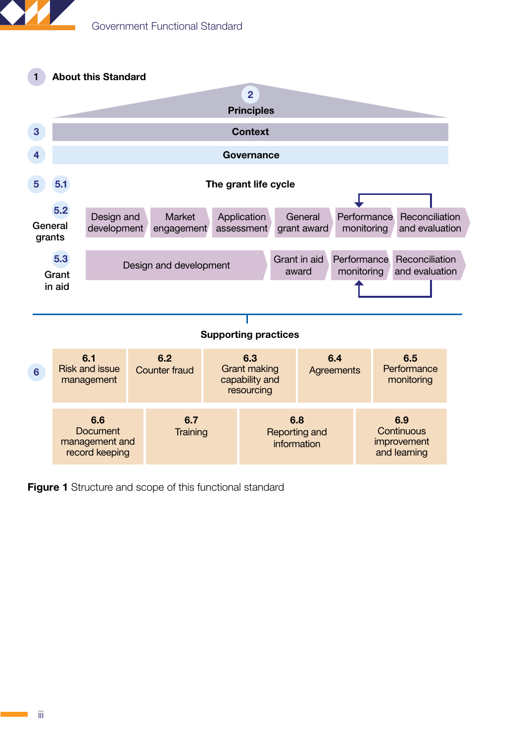



Figure 1 Structure and scope of this functional standard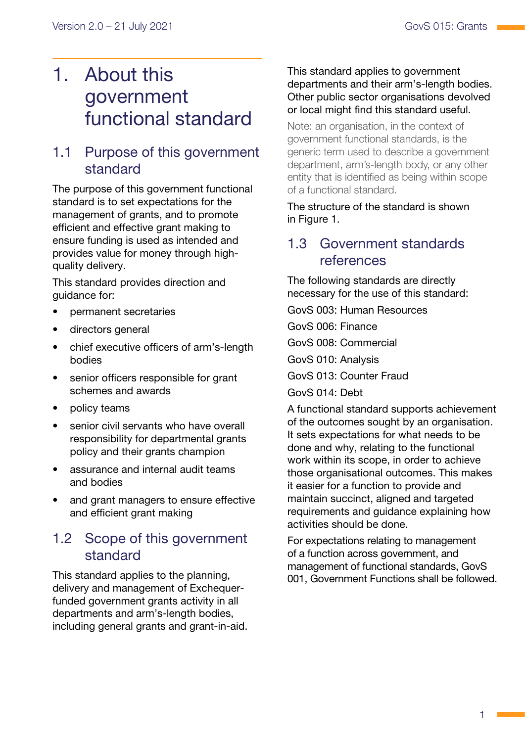# <span id="page-4-0"></span>1. About this government functional standard

### 1.1 Purpose of this government standard

The purpose of this government functional standard is to set expectations for the management of grants, and to promote efficient and effective grant making to ensure funding is used as intended and provides value for money through highquality delivery.

This standard provides direction and quidance for:

- permanent secretaries
- directors general
- chief executive officers of arm's-length bodies
- senior officers responsible for grant schemes and awards
- policy teams
- senior civil servants who have overall responsibility for departmental grants policy and their grants champion
- assurance and internal audit teams and bodies
- and grant managers to ensure effective and efficient grant making

### 1.2 Scope of this government standard

This standard applies to the planning, delivery and management of Exchequerfunded government grants activity in all departments and arm's-length bodies, including general grants and grant-in-aid.

#### This standard applies to government departments and their arm's-length bodies. Other public sector organisations devolved or local might find this standard useful.

Note: an organisation, in the context of government functional standards, is the generic term used to describe a government department, arm's-length body, or any other entity that is identified as being within scope of a functional standard.

The structure of the standard is shown in Figure 1.

### 1.3 Government standards references

The following standards are directly necessary for the use of this standard:

GovS 003: Human Resources

GovS 006: Finance

GovS 008: Commercial

GovS 010: Analysis

GovS 013: Counter Fraud

GovS 014: Debt

A functional standard supports achievement of the outcomes sought by an organisation. It sets expectations for what needs to be done and why, relating to the functional work within its scope, in order to achieve those organisational outcomes. This makes it easier for a function to provide and maintain succinct, aligned and targeted requirements and guidance explaining how activities should be done.

For expectations relating to management of a function across government, and management of functional standards, GovS 001, Government Functions shall be followed.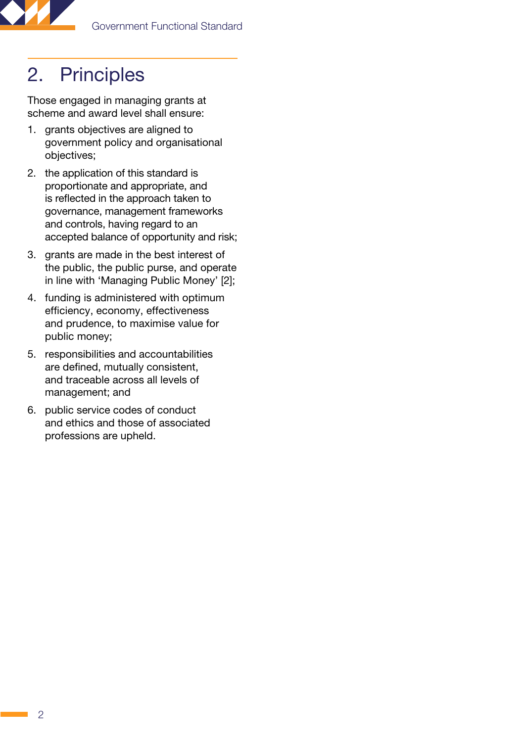<span id="page-5-0"></span>

# 2. Principles

Those engaged in managing grants at scheme and award level shall ensure:

- 1. grants objectives are aligned to government policy and organisational objectives;
- 2. the application of this standard is proportionate and appropriate, and is reflected in the approach taken to governance, management frameworks and controls, having regard to an accepted balance of opportunity and risk;
- 3. grants are made in the best interest of the public, the public purse, and operate in line with 'Managing Public Money' [2];
- 4. funding is administered with optimum efficiency, economy, effectiveness and prudence, to maximise value for public money;
- 5. responsibilities and accountabilities are defined, mutually consistent, and traceable across all levels of management; and
- 6. public service codes of conduct and ethics and those of associated professions are upheld.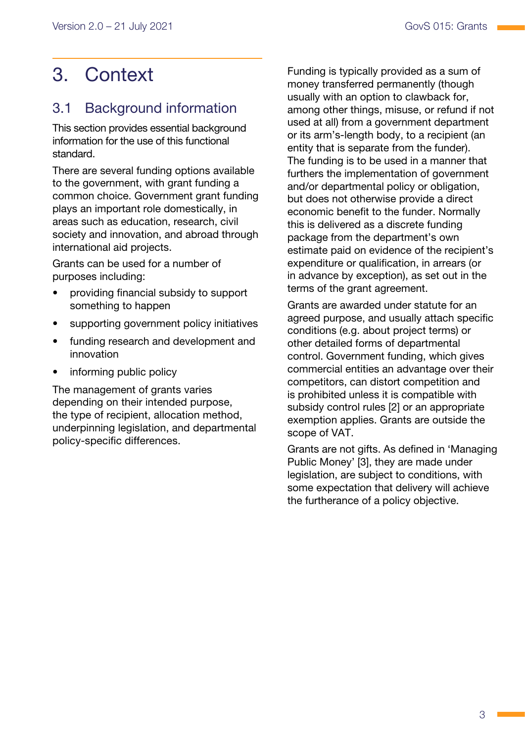# <span id="page-6-0"></span>3. Context

### 3.1 Background information

This section provides essential background information for the use of this functional standard.

There are several funding options available to the government, with grant funding a common choice. Government grant funding plays an important role domestically, in areas such as education, research, civil society and innovation, and abroad through international aid projects.

Grants can be used for a number of purposes including:

- providing financial subsidy to support something to happen
- supporting government policy initiatives
- funding research and development and innovation
- informing public policy

The management of grants varies depending on their intended purpose, the type of recipient, allocation method, underpinning legislation, and departmental policy-specific differences.

Funding is typically provided as a sum of money transferred permanently (though usually with an option to clawback for, among other things, misuse, or refund if not used at all) from a government department or its arm's-length body, to a recipient (an entity that is separate from the funder). The funding is to be used in a manner that furthers the implementation of government and/or departmental policy or obligation, but does not otherwise provide a direct economic benefit to the funder. Normally this is delivered as a discrete funding package from the department's own estimate paid on evidence of the recipient's expenditure or qualification, in arrears (or in advance by exception), as set out in the terms of the grant agreement.

Grants are awarded under statute for an agreed purpose, and usually attach specific conditions (e.g. about project terms) or other detailed forms of departmental control. Government funding, which gives commercial entities an advantage over their competitors, can distort competition and is prohibited unless it is compatible with subsidy control rules [2] or an appropriate exemption applies. Grants are outside the scope of VAT.

Grants are not gifts. As defined in 'Managing Public Money' [3], they are made under legislation, are subject to conditions, with some expectation that delivery will achieve the furtherance of a policy objective.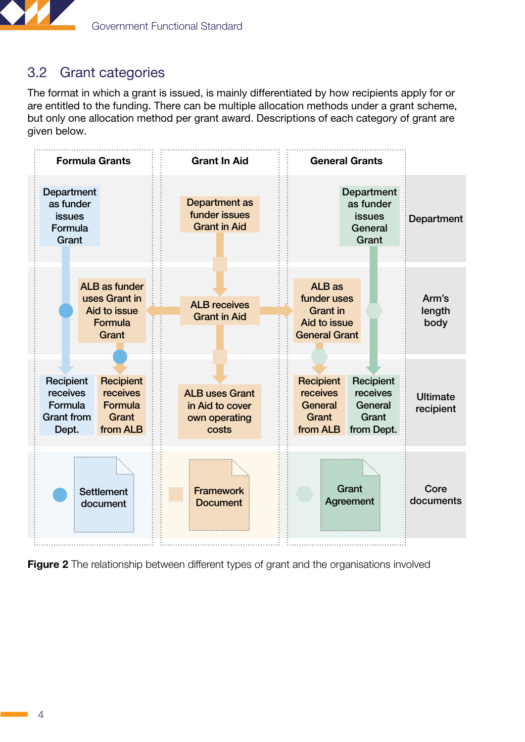<span id="page-7-0"></span>

### <span id="page-7-1"></span>3.2 Grant categories

The format in which a grant is issued, is mainly differentiated by how recipients apply for or are entitled to the funding. There can be multiple allocation methods under a grant scheme, but only one allocation method per grant award. Descriptions of each category of grant are given below.



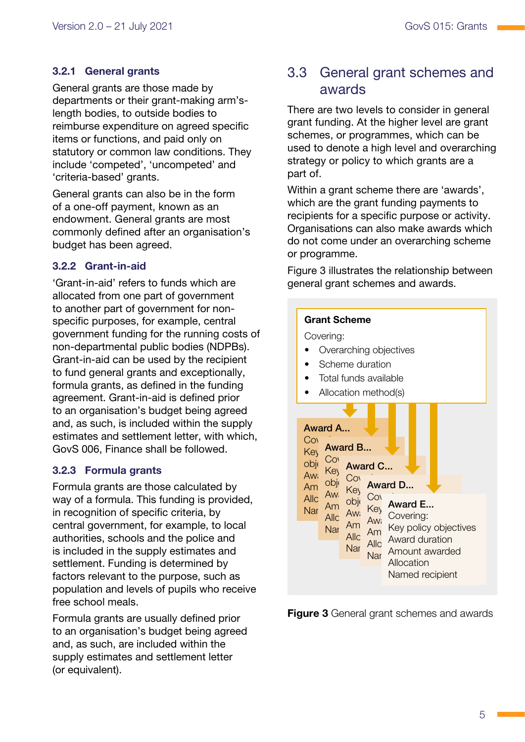### <span id="page-8-0"></span>3.2.1 General grants

General grants are those made by departments or their grant-making arm'slength bodies, to outside bodies to reimburse expenditure on agreed specific items or functions, and paid only on statutory or common law conditions. They include 'competed', 'uncompeted' and 'criteria-based' grants.

General grants can also be in the form of a one-off payment, known as an endowment. General grants are most commonly defined after an organisation's budget has been agreed.

### 3.2.2 Grant-in-aid

'Grant-in-aid' refers to funds which are allocated from one part of government to another part of government for nonspecific purposes, for example, central government funding for the running costs of non-departmental public bodies (NDPBs). Grant-in-aid can be used by the recipient to fund general grants and exceptionally, formula grants, as defined in the funding agreement. Grant-in-aid is defined prior to an organisation's budget being agreed and, as such, is included within the supply estimates and settlement letter, with which, GovS 006, Finance shall be followed.

### 3.2.3 Formula grants

Formula grants are those calculated by way of a formula. This funding is provided, in recognition of specific criteria, by central government, for example, to local authorities, schools and the police and is included in the supply estimates and settlement. Funding is determined by factors relevant to the purpose, such as population and levels of pupils who receive free school meals.

Formula grants are usually defined prior to an organisation's budget being agreed and, as such, are included within the supply estimates and settlement letter (or equivalent).

### 3.3 General grant schemes and awards

There are two levels to consider in general grant funding. At the higher level are grant schemes, or programmes, which can be used to denote a high level and overarching strategy or policy to which grants are a part of.

Within a grant scheme there are 'awards', which are the grant funding payments to recipients for a specific purpose or activity. Organisations can also make awards which do not come under an overarching scheme or programme.

Figure 3 illustrates the relationship between general grant schemes and awards.

#### Grant Scheme

Covering:

- Overarching objectives
- Scheme duration
- Total funds available
- Allocation method(s)



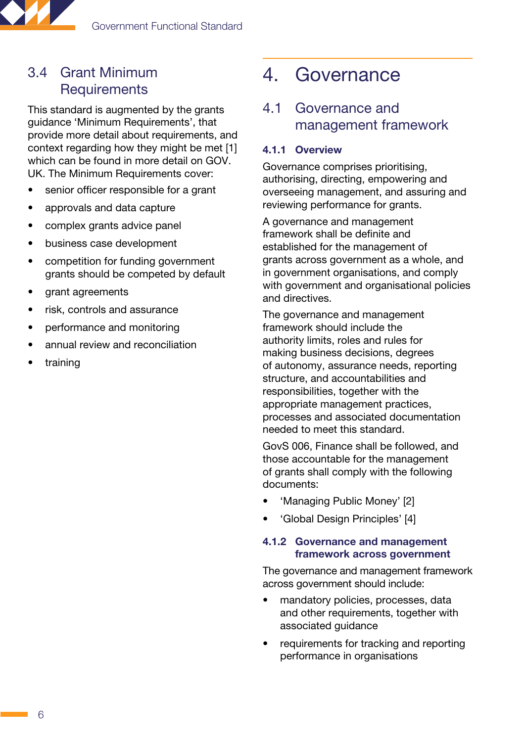<span id="page-9-0"></span>

### 3.4 Grant Minimum **Requirements**

This standard is augmented by the grants guidance 'Minimum Requirements', that provide more detail about requirements, and context regarding how they might be met [1] which can be found in more detail on [GOV.](http://gov.uk/) [UK](http://gov.uk/). The Minimum Requirements cover:

- senior officer responsible for a grant
- approvals and data capture
- complex grants advice panel
- business case development
- competition for funding government grants should be competed by default
- grant agreements
- risk, controls and assurance
- performance and monitoring
- annual review and reconciliation
- training

## 4. Governance

### 4.1 Governance and management framework

#### <span id="page-9-1"></span>4.1.1 Overview

Governance comprises prioritising, authorising, directing, empowering and overseeing management, and assuring and reviewing performance for grants.

A governance and management framework shall be definite and established for the management of grants across government as a whole, and in government organisations, and comply with government and organisational policies and directives.

The governance and management framework should include the authority limits, roles and rules for making business decisions, degrees of autonomy, assurance needs, reporting structure, and accountabilities and responsibilities, together with the appropriate management practices, processes and associated documentation needed to meet this standard.

GovS 006, Finance shall be followed, and those accountable for the management of grants shall comply with the following documents:

- 'Managing Public Money' [2]
- 'Global Design Principles' [4]

#### 4.1.2 Governance and management framework across government

The governance and management framework across government should include:

- mandatory policies, processes, data and other requirements, together with associated guidance
- requirements for tracking and reporting performance in organisations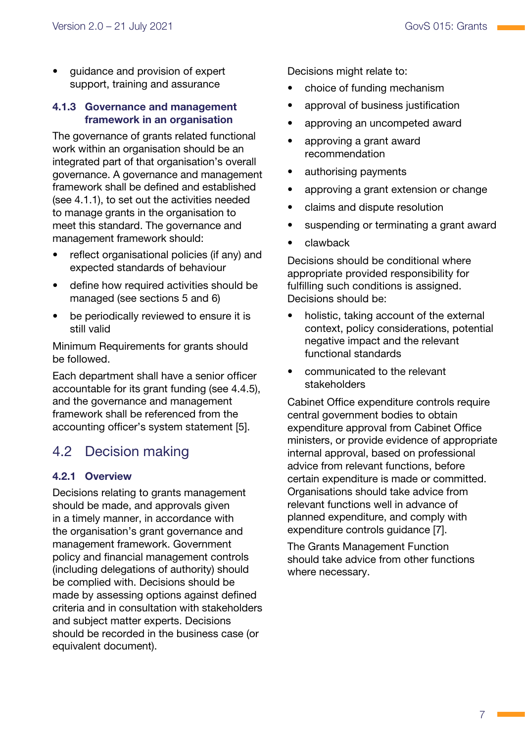<span id="page-10-0"></span>• guidance and provision of expert support, training and assurance

#### 4.1.3 Governance and management framework in an organisation

The governance of grants related functional work within an organisation should be an integrated part of that organisation's overall governance. A governance and management framework shall be defined and established ([see 4.1.1\)](#page-9-1), to set out the activities needed to manage grants in the organisation to meet this standard. The governance and management framework should:

- reflect organisational policies (if any) and expected standards of behaviour
- define how required activities should be managed [\(see sections 5](#page-16-1) [and 6\)](#page-21-1)
- be periodically reviewed to ensure it is still valid

Minimum Requirements for grants should be followed.

Each department shall have a senior officer accountable for its grant funding (see 4.4.5), and the governance and management framework shall be referenced from the accounting officer's system statement [5].

### 4.2 Decision making

### <span id="page-10-1"></span>4.2.1 Overview

Decisions relating to grants management should be made, and approvals given in a timely manner, in accordance with the organisation's grant governance and management framework. Government policy and financial management controls (including delegations of authority) should be complied with. Decisions should be made by assessing options against defined criteria and in consultation with stakeholders and subject matter experts. Decisions should be recorded in the business case (or equivalent document).

Decisions might relate to:

- choice of funding mechanism
- approval of business iustification
- approving an uncompeted award
- approving a grant award recommendation
- authorising payments
- approving a grant extension or change
- claims and dispute resolution
- suspending or terminating a grant award
- clawback

Decisions should be conditional where appropriate provided responsibility for fulfilling such conditions is assigned. Decisions should be:

- holistic, taking account of the external context, policy considerations, potential negative impact and the relevant functional standards
- communicated to the relevant stakeholders

Cabinet Office expenditure controls require central government bodies to obtain expenditure approval from Cabinet Office ministers, or provide evidence of appropriate internal approval, based on professional advice from relevant functions, before certain expenditure is made or committed. Organisations should take advice from relevant functions well in advance of planned expenditure, and comply with expenditure controls guidance [7].

The Grants Management Function should take advice from other functions where necessary.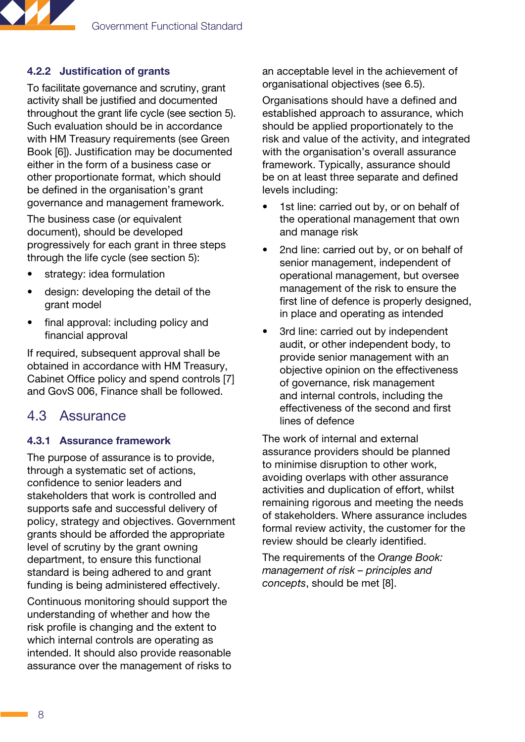<span id="page-11-0"></span>

### <span id="page-11-1"></span>4.2.2 Justification of grants

To facilitate governance and scrutiny, grant activity shall be justified and documented throughout the grant life cycle [\(see section 5](#page-16-1)). Such evaluation should be in accordance with HM Treasury requirements (see Green Book [6]). Justification may be documented either in the form of a business case or other proportionate format, which should be defined in the organisation's grant governance and management framework.

The business case (or equivalent document), should be developed progressively for each grant in three steps through the life cycle [\(see section 5](#page-16-1)):

- strategy: idea formulation
- design: developing the detail of the grant model
- final approval: including policy and financial approval

If required, subsequent approval shall be obtained in accordance with HM Treasury, Cabinet Office policy and spend controls [7] and GovS 006, Finance shall be followed.

### 4.3 Assurance

#### 4.3.1 Assurance framework

The purpose of assurance is to provide, through a systematic set of actions, confidence to senior leaders and stakeholders that work is controlled and supports safe and successful delivery of policy, strategy and objectives. Government grants should be afforded the appropriate level of scrutiny by the grant owning department, to ensure this functional standard is being adhered to and grant funding is being administered effectively.

Continuous monitoring should support the understanding of whether and how the risk profile is changing and the extent to which internal controls are operating as intended. It should also provide reasonable assurance over the management of risks to an acceptable level in the achievement of organisational objectives ([see 6.5\)](#page-23-1).

Organisations should have a defined and established approach to assurance, which should be applied proportionately to the risk and value of the activity, and integrated with the organisation's overall assurance framework. Typically, assurance should be on at least three separate and defined levels including:

- 1st line: carried out by, or on behalf of the operational management that own and manage risk
- 2nd line: carried out by, or on behalf of senior management, independent of operational management, but oversee management of the risk to ensure the first line of defence is properly designed, in place and operating as intended
- 3rd line: carried out by independent audit, or other independent body, to provide senior management with an objective opinion on the effectiveness of governance, risk management and internal controls, including the effectiveness of the second and first lines of defence

The work of internal and external assurance providers should be planned to minimise disruption to other work, avoiding overlaps with other assurance activities and duplication of effort, whilst remaining rigorous and meeting the needs of stakeholders. Where assurance includes formal review activity, the customer for the review should be clearly identified.

The requirements of the *Orange Book: management of risk – principles and concepts*, should be met [8].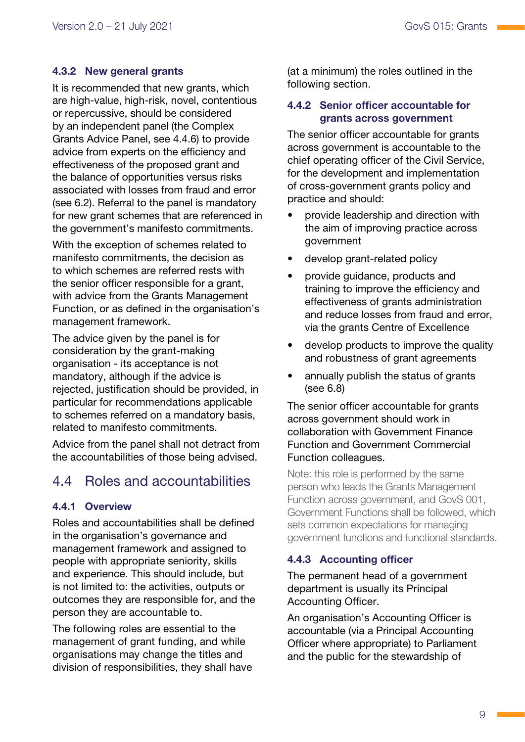### <span id="page-12-0"></span>4.3.2 New general grants

It is recommended that new grants, which are high-value, high-risk, novel, contentious or repercussive, should be considered by an independent panel (the Complex Grants Advice Panel, see 4.4.6) to provide advice from experts on the efficiency and effectiveness of the proposed grant and the balance of opportunities versus risks associated with losses from fraud and error ([see 6.2](#page-22-1)). Referral to the panel is mandatory for new grant schemes that are referenced in the government's manifesto commitments.

With the exception of schemes related to manifesto commitments, the decision as to which schemes are referred rests with the senior officer responsible for a grant, with advice from the Grants Management Function, or as defined in the organisation's management framework.

The advice given by the panel is for consideration by the grant-making organisation - its acceptance is not mandatory, although if the advice is rejected, justification should be provided, in particular for recommendations applicable to schemes referred on a mandatory basis, related to manifesto commitments.

Advice from the panel shall not detract from the accountabilities of those being advised.

### 4.4 Roles and accountabilities

### 4.4.1 Overview

Roles and accountabilities shall be defined in the organisation's governance and management framework and assigned to people with appropriate seniority, skills and experience. This should include, but is not limited to: the activities, outputs or outcomes they are responsible for, and the person they are accountable to.

The following roles are essential to the management of grant funding, and while organisations may change the titles and division of responsibilities, they shall have (at a minimum) the roles outlined in the following section.

### 4.4.2 Senior officer accountable for grants across government

The senior officer accountable for grants across government is accountable to the chief operating officer of the Civil Service, for the development and implementation of cross-government grants policy and practice and should:

- provide leadership and direction with the aim of improving practice across government
- develop grant-related policy
- provide guidance, products and training to improve the efficiency and effectiveness of grants administration and reduce losses from fraud and error, via the grants Centre of Excellence
- develop products to improve the quality and robustness of grant agreements
- annually publish the status of grants (see 6.8)

The senior officer accountable for grants across government should work in collaboration with Government Finance Function and Government Commercial Function colleagues.

Note: this role is performed by the same person who leads the Grants Management Function across government, and GovS 001, Government Functions shall be followed, which sets common expectations for managing government functions and functional standards.

### 4.4.3 Accounting officer

The permanent head of a government department is usually its Principal Accounting Officer.

An organisation's Accounting Officer is accountable (via a Principal Accounting Officer where appropriate) to Parliament and the public for the stewardship of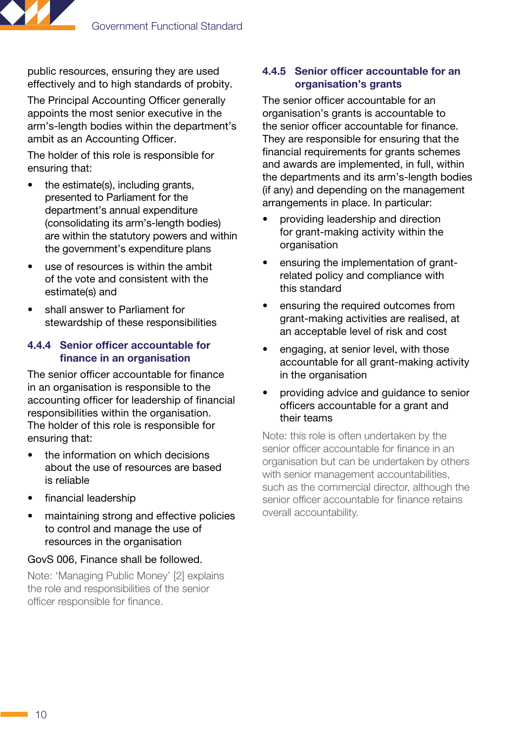

public resources, ensuring they are used effectively and to high standards of probity.

The Principal Accounting Officer generally appoints the most senior executive in the arm's-length bodies within the department's ambit as an Accounting Officer.

The holder of this role is responsible for ensuring that:

- the estimate(s), including grants, presented to Parliament for the department's annual expenditure (consolidating its arm's-length bodies) are within the statutory powers and within the government's expenditure plans
- use of resources is within the ambit of the vote and consistent with the estimate(s) and
- shall answer to Parliament for stewardship of these responsibilities

#### 4.4.4 Senior officer accountable for finance in an organisation

The senior officer accountable for finance in an organisation is responsible to the accounting officer for leadership of financial responsibilities within the organisation. The holder of this role is responsible for ensuring that:

- the information on which decisions about the use of resources are based is reliable
- financial leadership
- maintaining strong and effective policies to control and manage the use of resources in the organisation

#### GovS 006, Finance shall be followed.

Note: 'Managing Public Money' [2] explains the role and responsibilities of the senior officer responsible for finance.

#### 4.4.5 Senior officer accountable for an organisation's grants

The senior officer accountable for an organisation's grants is accountable to the senior officer accountable for finance. They are responsible for ensuring that the financial requirements for grants schemes and awards are implemented, in full, within the departments and its arm's-length bodies (if any) and depending on the management arrangements in place. In particular:

- providing leadership and direction for grant-making activity within the organisation
- ensuring the implementation of grantrelated policy and compliance with this standard
- ensuring the required outcomes from grant-making activities are realised, at an acceptable level of risk and cost
- engaging, at senior level, with those accountable for all grant-making activity in the organisation
- providing advice and guidance to senior officers accountable for a grant and their teams

Note: this role is often undertaken by the senior officer accountable for finance in an organisation but can be undertaken by others with senior management accountabilities, such as the commercial director, although the senior officer accountable for finance retains overall accountability.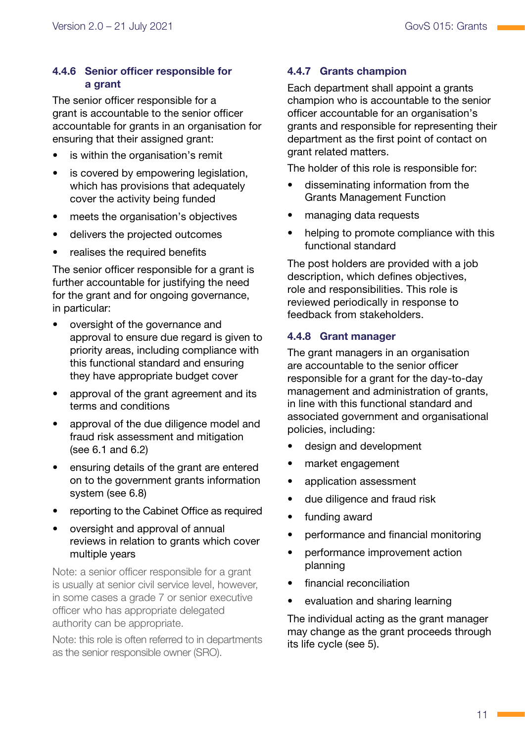### 4.4.6 Senior officer responsible for a grant

The senior officer responsible for a grant is accountable to the senior officer accountable for grants in an organisation for ensuring that their assigned grant:

- is within the organisation's remit
- is covered by empowering legislation, which has provisions that adequately cover the activity being funded
- meets the organisation's objectives
- delivers the projected outcomes
- realises the required benefits

The senior officer responsible for a grant is further accountable for justifying the need for the grant and for ongoing governance, in particular:

- oversight of the governance and approval to ensure due regard is given to priority areas, including compliance with this functional standard and ensuring they have appropriate budget cover
- approval of the grant agreement and its terms and conditions
- approval of the due diligence model and fraud risk assessment and mitigation [\(see 6.1](#page-21-1) and [6.2\)](#page-22-1)
- ensuring details of the grant are entered on to the government grants information system (see 6.8)
- reporting to the Cabinet Office as required
- oversight and approval of annual reviews in relation to grants which cover multiple years

Note: a senior officer responsible for a grant is usually at senior civil service level, however, in some cases a grade 7 or senior executive officer who has appropriate delegated authority can be appropriate.

Note: this role is often referred to in departments as the senior responsible owner (SRO).

### 4.4.7 Grants champion

Each department shall appoint a grants champion who is accountable to the senior officer accountable for an organisation's grants and responsible for representing their department as the first point of contact on grant related matters.

The holder of this role is responsible for:

- disseminating information from the Grants Management Function
- managing data requests
- helping to promote compliance with this functional standard

The post holders are provided with a job description, which defines objectives, role and responsibilities. This role is reviewed periodically in response to feedback from stakeholders.

### 4.4.8 Grant manager

The grant managers in an organisation are accountable to the senior officer responsible for a grant for the day-to-day management and administration of grants, in line with this functional standard and associated government and organisational policies, including:

- design and development
- market engagement
- application assessment
- due diligence and fraud risk
- funding award
- performance and financial monitoring
- performance improvement action planning
- financial reconciliation
- evaluation and sharing learning

The individual acting as the grant manager may change as the grant proceeds through its life cycle ([see 5\)](#page-16-1).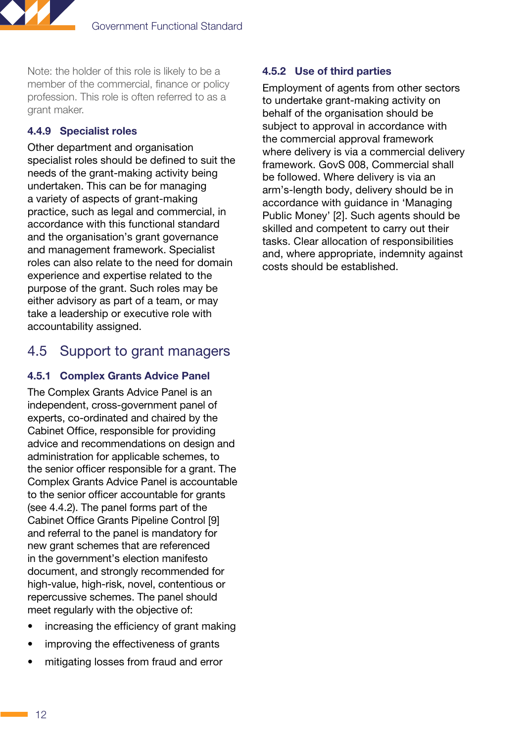<span id="page-15-0"></span>

Note: the holder of this role is likely to be a member of the commercial, finance or policy profession. This role is often referred to as a grant maker.

### 4.4.9 Specialist roles

Other department and organisation specialist roles should be defined to suit the needs of the grant-making activity being undertaken. This can be for managing a variety of aspects of grant-making practice, such as legal and commercial, in accordance with this functional standard and the organisation's grant governance and management framework. Specialist roles can also relate to the need for domain experience and expertise related to the purpose of the grant. Such roles may be either advisory as part of a team, or may take a leadership or executive role with accountability assigned.

### 4.5 Support to grant managers

### 4.5.1 Complex Grants Advice Panel

The Complex Grants Advice Panel is an independent, cross-government panel of experts, co-ordinated and chaired by the Cabinet Office, responsible for providing advice and recommendations on design and administration for applicable schemes, to the senior officer responsible for a grant. The Complex Grants Advice Panel is accountable to the senior officer accountable for grants [\(see 4.4.2](#page-11-1)). The panel forms part of the Cabinet Office Grants Pipeline Control [9] and referral to the panel is mandatory for new grant schemes that are referenced in the government's election manifesto document, and strongly recommended for high-value, high-risk, novel, contentious or repercussive schemes. The panel should meet regularly with the objective of:

- increasing the efficiency of grant making
- improving the effectiveness of grants
- mitigating losses from fraud and error

### 4.5.2 Use of third parties

Employment of agents from other sectors to undertake grant-making activity on behalf of the organisation should be subject to approval in accordance with the commercial approval framework where delivery is via a commercial delivery framework. GovS 008, Commercial shall be followed. Where delivery is via an arm's-length body, delivery should be in accordance with guidance in 'Managing Public Money' [2]. Such agents should be skilled and competent to carry out their tasks. Clear allocation of responsibilities and, where appropriate, indemnity against costs should be established.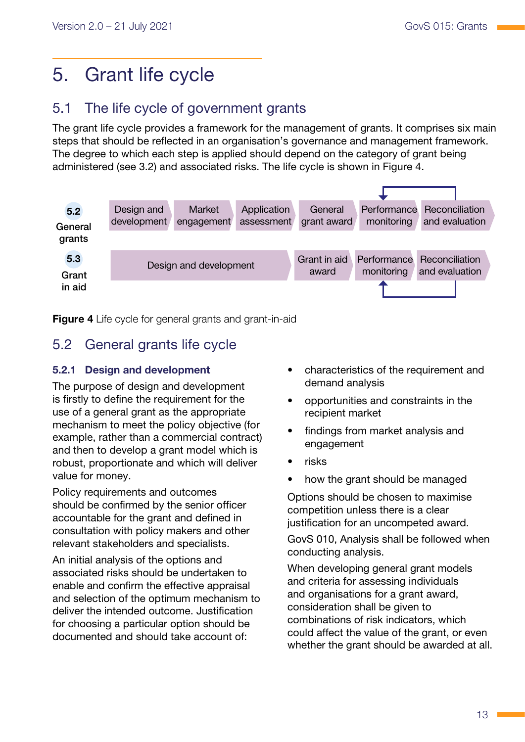# <span id="page-16-1"></span><span id="page-16-0"></span>5. Grant life cycle

### 5.1 The life cycle of government grants

The grant life cycle provides a framework for the management of grants. It comprises six main steps that should be reflected in an organisation's governance and management framework. The degree to which each step is applied should depend on the category of grant being administered ([see 3.2](#page-7-1)) and associated risks. The life cycle is shown in Figure 4.



**Figure 4** Life cycle for general grants and grant-in-aid

### 5.2 General grants life cycle

### 5.2.1 Design and development

The purpose of design and development is firstly to define the requirement for the use of a general grant as the appropriate mechanism to meet the policy objective (for example, rather than a commercial contract) and then to develop a grant model which is robust, proportionate and which will deliver value for money.

Policy requirements and outcomes should be confirmed by the senior officer accountable for the grant and defined in consultation with policy makers and other relevant stakeholders and specialists.

An initial analysis of the options and associated risks should be undertaken to enable and confirm the effective appraisal and selection of the optimum mechanism to deliver the intended outcome. Justification for choosing a particular option should be documented and should take account of:

- characteristics of the requirement and demand analysis
- opportunities and constraints in the recipient market
- findings from market analysis and engagement
- risks
- how the grant should be managed

Options should be chosen to maximise competition unless there is a clear justification for an uncompeted award.

GovS 010, Analysis shall be followed when conducting analysis.

When developing general grant models and criteria for assessing individuals and organisations for a grant award, consideration shall be given to combinations of risk indicators, which could affect the value of the grant, or even whether the grant should be awarded at all.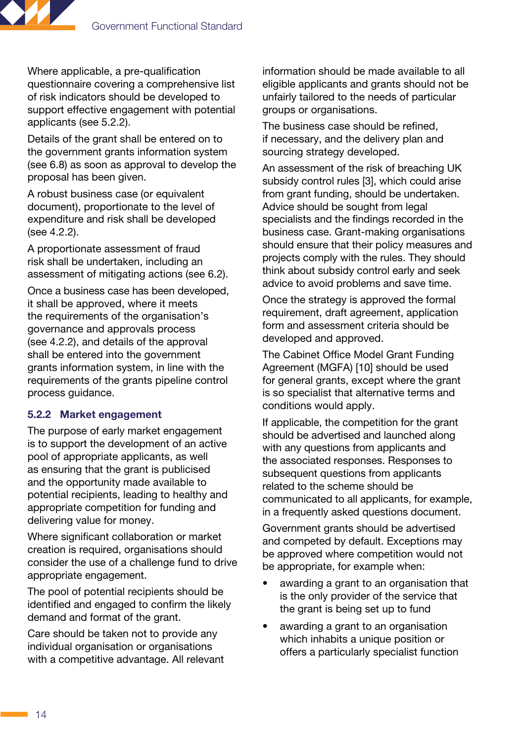

Where applicable, a pre-qualification questionnaire covering a comprehensive list of risk indicators should be developed to support effective engagement with potential applicants ([see 5.2.2\)](#page-17-0).

Details of the grant shall be entered on to the government grants information system (see 6.8) as soon as approval to develop the proposal has been given.

A robust business case (or equivalent document), proportionate to the level of expenditure and risk shall be developed [\(see 4.2.2](#page-11-1)).

A proportionate assessment of fraud risk shall be undertaken, including an assessment of mitigating actions ([see 6.2\)](#page-22-1).

Once a business case has been developed, it shall be approved, where it meets the requirements of the organisation's governance and approvals process [\(see 4.2.2](#page-11-1)), and details of the approval shall be entered into the government grants information system, in line with the requirements of the grants pipeline control process guidance.

### <span id="page-17-0"></span>5.2.2 Market engagement

The purpose of early market engagement is to support the development of an active pool of appropriate applicants, as well as ensuring that the grant is publicised and the opportunity made available to potential recipients, leading to healthy and appropriate competition for funding and delivering value for money.

Where significant collaboration or market creation is required, organisations should consider the use of a challenge fund to drive appropriate engagement.

The pool of potential recipients should be identified and engaged to confirm the likely demand and format of the grant.

Care should be taken not to provide any individual organisation or organisations with a competitive advantage. All relevant information should be made available to all eligible applicants and grants should not be unfairly tailored to the needs of particular groups or organisations.

The business case should be refined, if necessary, and the delivery plan and sourcing strategy developed.

An assessment of the risk of breaching UK subsidy control rules [3], which could arise from grant funding, should be undertaken. Advice should be sought from legal specialists and the findings recorded in the business case. Grant-making organisations should ensure that their policy measures and projects comply with the rules. They should think about subsidy control early and seek advice to avoid problems and save time.

Once the strategy is approved the formal requirement, draft agreement, application form and assessment criteria should be developed and approved.

The Cabinet Office Model Grant Funding Agreement (MGFA) [10] should be used for general grants, except where the grant is so specialist that alternative terms and conditions would apply.

If applicable, the competition for the grant should be advertised and launched along with any questions from applicants and the associated responses. Responses to subsequent questions from applicants related to the scheme should be communicated to all applicants, for example, in a frequently asked questions document.

Government grants should be advertised and competed by default. Exceptions may be approved where competition would not be appropriate, for example when:

- awarding a grant to an organisation that is the only provider of the service that the grant is being set up to fund
- awarding a grant to an organisation which inhabits a unique position or offers a particularly specialist function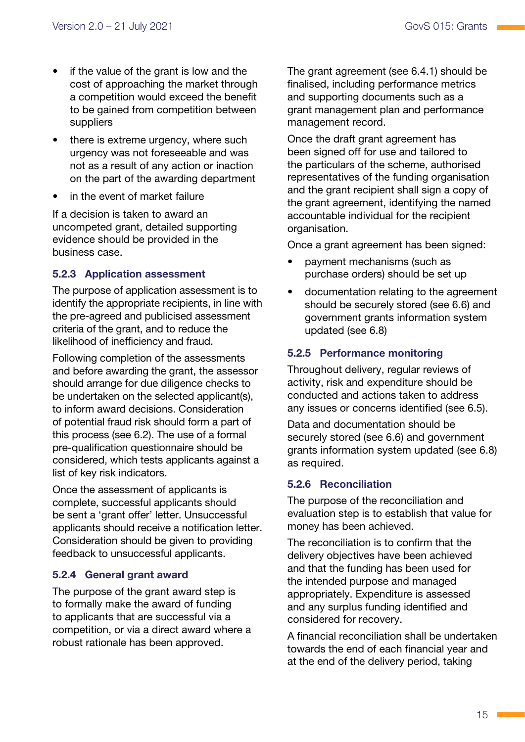- if the value of the grant is low and the cost of approaching the market through a competition would exceed the benefit to be gained from competition between suppliers
- there is extreme urgency, where such urgency was not foreseeable and was not as a result of any action or inaction on the part of the awarding department
- in the event of market failure

If a decision is taken to award an uncompeted grant, detailed supporting evidence should be provided in the business case.

### 5.2.3 Application assessment

The purpose of application assessment is to identify the appropriate recipients, in line with the pre-agreed and publicised assessment criteria of the grant, and to reduce the likelihood of inefficiency and fraud.

Following completion of the assessments and before awarding the grant, the assessor should arrange for due diligence checks to be undertaken on the selected applicant(s), to inform award decisions. Consideration of potential fraud risk should form a part of this process [\(see 6.2](#page-22-1)). The use of a formal pre-qualification questionnaire should be considered, which tests applicants against a list of key risk indicators.

Once the assessment of applicants is complete, successful applicants should be sent a 'grant offer' letter. Unsuccessful applicants should receive a notification letter. Consideration should be given to providing feedback to unsuccessful applicants.

### 5.2.4 General grant award

The purpose of the grant award step is to formally make the award of funding to applicants that are successful via a competition, or via a direct award where a robust rationale has been approved.

The grant agreement [\(see 6.4.1](#page-22-2)) should be finalised, including performance metrics and supporting documents such as a grant management plan and performance management record.

Once the draft grant agreement has been signed off for use and tailored to the particulars of the scheme, authorised representatives of the funding organisation and the grant recipient shall sign a copy of the grant agreement, identifying the named accountable individual for the recipient organisation.

Once a grant agreement has been signed:

- payment mechanisms (such as purchase orders) should be set up
- documentation relating to the agreement should be securely stored (see 6.6) and government grants information system updated (see 6.8)

### 5.2.5 Performance monitoring

Throughout delivery, regular reviews of activity, risk and expenditure should be conducted and actions taken to address any issues or concerns identified [\(see 6.5](#page-23-1)).

Data and documentation should be securely stored (see 6.6) and government grants information system updated (see 6.8) as required.

### 5.2.6 Reconciliation

The purpose of the reconciliation and evaluation step is to establish that value for money has been achieved.

The reconciliation is to confirm that the delivery objectives have been achieved and that the funding has been used for the intended purpose and managed appropriately. Expenditure is assessed and any surplus funding identified and considered for recovery.

A financial reconciliation shall be undertaken towards the end of each financial year and at the end of the delivery period, taking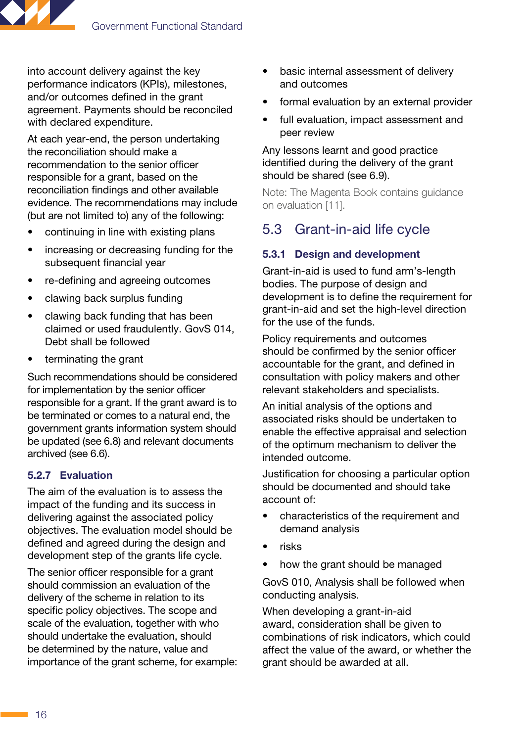<span id="page-19-0"></span>

into account delivery against the key performance indicators (KPIs), milestones, and/or outcomes defined in the grant agreement. Payments should be reconciled with declared expenditure.

At each year-end, the person undertaking the reconciliation should make a recommendation to the senior officer responsible for a grant, based on the reconciliation findings and other available evidence. The recommendations may include (but are not limited to) any of the following:

- continuing in line with existing plans
- increasing or decreasing funding for the subsequent financial year
- re-defining and agreeing outcomes
- clawing back surplus funding
- clawing back funding that has been claimed or used fraudulently. GovS 014, Debt shall be followed
- terminating the grant

Such recommendations should be considered for implementation by the senior officer responsible for a grant. If the grant award is to be terminated or comes to a natural end, the government grants information system should be updated (see 6.8) and relevant documents archived (see 6.6).

### 5.2.7 Evaluation

The aim of the evaluation is to assess the impact of the funding and its success in delivering against the associated policy objectives. The evaluation model should be defined and agreed during the design and development step of the grants life cycle.

The senior officer responsible for a grant should commission an evaluation of the delivery of the scheme in relation to its specific policy objectives. The scope and scale of the evaluation, together with who should undertake the evaluation, should be determined by the nature, value and importance of the grant scheme, for example:

- basic internal assessment of delivery and outcomes
- formal evaluation by an external provider
- full evaluation, impact assessment and peer review

#### Any lessons learnt and good practice identified during the delivery of the grant should be shared (see 6.9).

Note: The Magenta Book contains guidance on evaluation [11].

### 5.3 Grant-in-aid life cycle

### 5.3.1 Design and development

Grant-in-aid is used to fund arm's-length bodies. The purpose of design and development is to define the requirement for grant-in-aid and set the high-level direction for the use of the funds.

Policy requirements and outcomes should be confirmed by the senior officer accountable for the grant, and defined in consultation with policy makers and other relevant stakeholders and specialists.

An initial analysis of the options and associated risks should be undertaken to enable the effective appraisal and selection of the optimum mechanism to deliver the intended outcome.

Justification for choosing a particular option should be documented and should take account of:

- characteristics of the requirement and demand analysis
- risks
- how the grant should be managed

GovS 010, Analysis shall be followed when conducting analysis.

When developing a grant-in-aid award, consideration shall be given to combinations of risk indicators, which could affect the value of the award, or whether the grant should be awarded at all.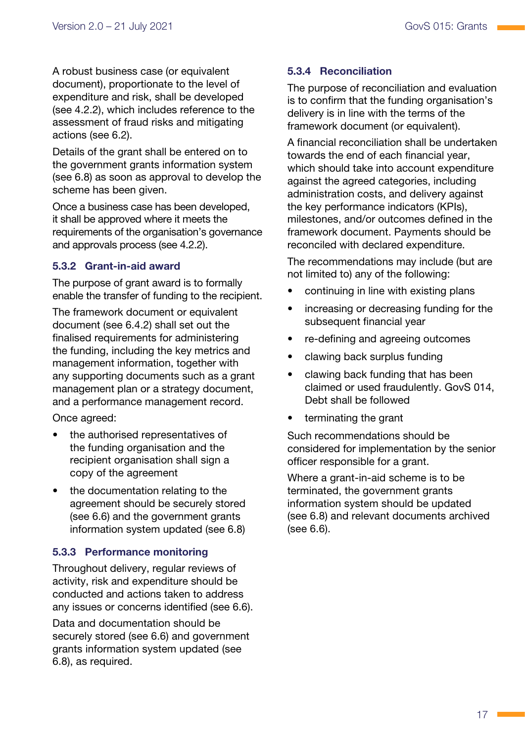A robust business case (or equivalent document), proportionate to the level of expenditure and risk, shall be developed ([see 4.2.2\)](#page-11-1), which includes reference to the assessment of fraud risks and mitigating actions ([see 6.2\)](#page-22-1).

Details of the grant shall be entered on to the government grants information system (see 6.8) as soon as approval to develop the scheme has been given.

Once a business case has been developed, it shall be approved where it meets the requirements of the organisation's governance and approvals process [\(see 4.2.2\)](#page-11-1).

### 5.3.2 Grant-in-aid award

The purpose of grant award is to formally enable the transfer of funding to the recipient.

The framework document or equivalent document [\(see 6.4.2](#page-23-2)) shall set out the finalised requirements for administering the funding, including the key metrics and management information, together with any supporting documents such as a grant management plan or a strategy document, and a performance management record.

Once agreed:

- the authorised representatives of the funding organisation and the recipient organisation shall sign a copy of the agreement
- the documentation relating to the agreement should be securely stored (see 6.6) and the government grants information system updated (see 6.8)

### 5.3.3 Performance monitoring

Throughout delivery, regular reviews of activity, risk and expenditure should be conducted and actions taken to address any issues or concerns identified (see 6.6).

Data and documentation should be securely stored (see 6.6) and government grants information system updated (see 6.8), as required.

### 5.3.4 Reconciliation

The purpose of reconciliation and evaluation is to confirm that the funding organisation's delivery is in line with the terms of the framework document (or equivalent).

A financial reconciliation shall be undertaken towards the end of each financial year, which should take into account expenditure against the agreed categories, including administration costs, and delivery against the key performance indicators (KPIs), milestones, and/or outcomes defined in the framework document. Payments should be reconciled with declared expenditure.

The recommendations may include (but are not limited to) any of the following:

- continuing in line with existing plans
- increasing or decreasing funding for the subsequent financial year
- re-defining and agreeing outcomes
- clawing back surplus funding
- clawing back funding that has been claimed or used fraudulently. GovS 014, Debt shall be followed
- terminating the grant

Such recommendations should be considered for implementation by the senior officer responsible for a grant.

Where a grant-in-aid scheme is to be terminated, the government grants information system should be updated (see 6.8) and relevant documents archived (see 6.6).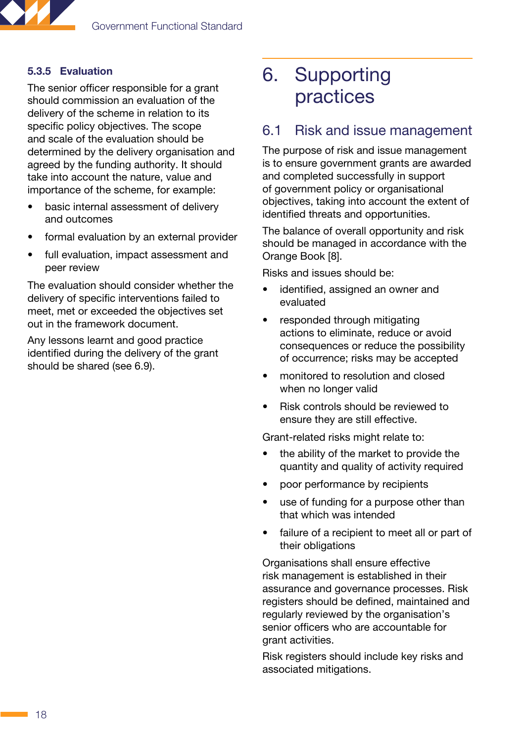<span id="page-21-0"></span>

### 5.3.5 Evaluation

The senior officer responsible for a grant should commission an evaluation of the delivery of the scheme in relation to its specific policy objectives. The scope and scale of the evaluation should be determined by the delivery organisation and agreed by the funding authority. It should take into account the nature, value and importance of the scheme, for example:

- basic internal assessment of delivery and outcomes
- formal evaluation by an external provider
- full evaluation, impact assessment and peer review

The evaluation should consider whether the delivery of specific interventions failed to meet, met or exceeded the objectives set out in the framework document.

Any lessons learnt and good practice identified during the delivery of the grant should be shared (see 6.9).

# 6. Supporting practices

### <span id="page-21-1"></span>6.1 Risk and issue management

The purpose of risk and issue management is to ensure government grants are awarded and completed successfully in support of government policy or organisational objectives, taking into account the extent of identified threats and opportunities.

The balance of overall opportunity and risk should be managed in accordance with the Orange Book [8].

Risks and issues should be:

- identified, assigned an owner and evaluated
- responded through mitigating actions to eliminate, reduce or avoid consequences or reduce the possibility of occurrence; risks may be accepted
- monitored to resolution and closed when no longer valid
- Risk controls should be reviewed to ensure they are still effective.

Grant-related risks might relate to:

- the ability of the market to provide the quantity and quality of activity required
- poor performance by recipients
- use of funding for a purpose other than that which was intended
- failure of a recipient to meet all or part of their obligations

Organisations shall ensure effective risk management is established in their assurance and governance processes. Risk registers should be defined, maintained and regularly reviewed by the organisation's senior officers who are accountable for grant activities.

Risk registers should include key risks and associated mitigations.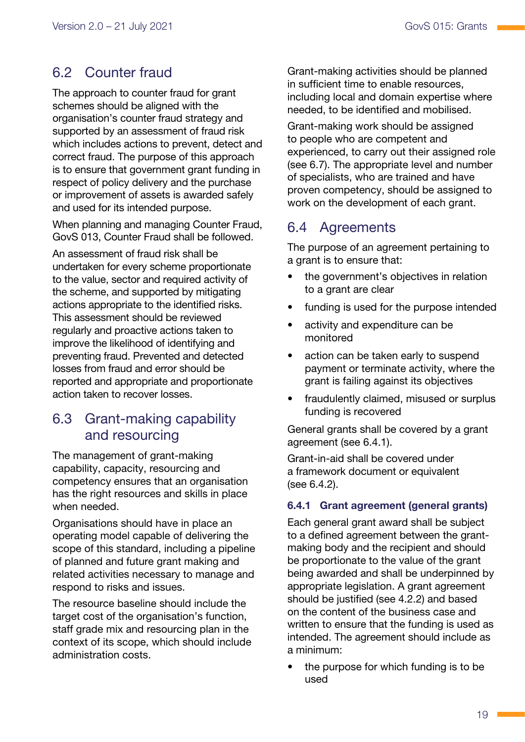### <span id="page-22-1"></span><span id="page-22-0"></span>6.2 Counter fraud

The approach to counter fraud for grant schemes should be aligned with the organisation's counter fraud strategy and supported by an assessment of fraud risk which includes actions to prevent, detect and correct fraud. The purpose of this approach is to ensure that government grant funding in respect of policy delivery and the purchase or improvement of assets is awarded safely and used for its intended purpose.

When planning and managing Counter Fraud, GovS 013, Counter Fraud shall be followed.

An assessment of fraud risk shall be undertaken for every scheme proportionate to the value, sector and required activity of the scheme, and supported by mitigating actions appropriate to the identified risks. This assessment should be reviewed regularly and proactive actions taken to improve the likelihood of identifying and preventing fraud. Prevented and detected losses from fraud and error should be reported and appropriate and proportionate action taken to recover losses.

### 6.3 Grant-making capability and resourcing

The management of grant-making capability, capacity, resourcing and competency ensures that an organisation has the right resources and skills in place when needed.

Organisations should have in place an operating model capable of delivering the scope of this standard, including a pipeline of planned and future grant making and related activities necessary to manage and respond to risks and issues.

The resource baseline should include the target cost of the organisation's function, staff grade mix and resourcing plan in the context of its scope, which should include administration costs.

Grant-making activities should be planned in sufficient time to enable resources, including local and domain expertise where needed, to be identified and mobilised.

Grant-making work should be assigned to people who are competent and experienced, to carry out their assigned role (see 6.7). The appropriate level and number of specialists, who are trained and have proven competency, should be assigned to work on the development of each grant.

### 6.4 Agreements

The purpose of an agreement pertaining to a grant is to ensure that:

- the government's objectives in relation to a grant are clear
- funding is used for the purpose intended
- activity and expenditure can be monitored
- action can be taken early to suspend payment or terminate activity, where the grant is failing against its objectives
- fraudulently claimed, misused or surplus funding is recovered

General grants shall be covered by a grant agreement ([see 6.4.1\)](#page-22-2).

Grant-in-aid shall be covered under a framework document or equivalent [\(see 6.4.2\)](#page-23-2).

### <span id="page-22-2"></span>6.4.1 Grant agreement (general grants)

Each general grant award shall be subject to a defined agreement between the grantmaking body and the recipient and should be proportionate to the value of the grant being awarded and shall be underpinned by appropriate legislation. A grant agreement should be justified ([see 4.2.2](#page-11-1)) and based on the content of the business case and written to ensure that the funding is used as intended. The agreement should include as a minimum:

the purpose for which funding is to be used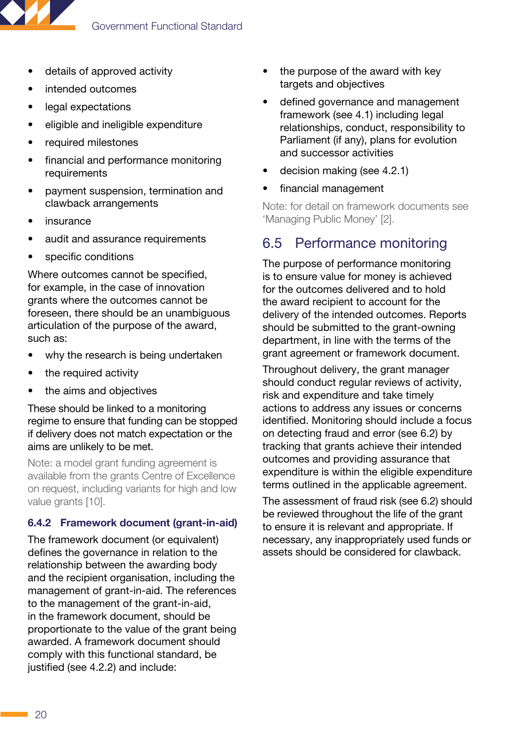<span id="page-23-0"></span>

- details of approved activity
- intended outcomes
- legal expectations
- eligible and ineligible expenditure
- required milestones
- financial and performance monitoring requirements
- payment suspension, termination and clawback arrangements
- *insurance*
- audit and assurance requirements
- specific conditions

Where outcomes cannot be specified, for example, in the case of innovation grants where the outcomes cannot be foreseen, there should be an unambiguous articulation of the purpose of the award, such as:

- why the research is being undertaken
- the required activity
- the aims and objectives

These should be linked to a monitoring regime to ensure that funding can be stopped if delivery does not match expectation or the aims are unlikely to be met.

Note: a model grant funding agreement is available from the grants Centre of Excellence on request, including variants for high and low value grants [10].

#### <span id="page-23-2"></span>6.4.2 Framework document (grant-in-aid)

The framework document (or equivalent) defines the governance in relation to the relationship between the awarding body and the recipient organisation, including the management of grant-in-aid. The references to the management of the grant-in-aid, in the framework document, should be proportionate to the value of the grant being awarded. A framework document should comply with this functional standard, be justified ([see 4.2.2](#page-11-1)) and include:

- the purpose of the award with key targets and objectives
- defined governance and management framework ([see 4.1\)](#page-9-1) including legal relationships, conduct, responsibility to Parliament (if any), plans for evolution and successor activities
- decision making [\(see 4.2.1](#page-10-1))
- financial management

Note: for detail on framework documents see 'Managing Public Money' [2].

### <span id="page-23-1"></span>6.5 Performance monitoring

The purpose of performance monitoring is to ensure value for money is achieved for the outcomes delivered and to hold the award recipient to account for the delivery of the intended outcomes. Reports should be submitted to the grant-owning department, in line with the terms of the grant agreement or framework document.

Throughout delivery, the grant manager should conduct regular reviews of activity. risk and expenditure and take timely actions to address any issues or concerns identified. Monitoring should include a focus on detecting fraud and error ([see 6.2\)](#page-22-1) by tracking that grants achieve their intended outcomes and providing assurance that expenditure is within the eligible expenditure terms outlined in the applicable agreement.

The assessment of fraud risk ([see 6.2\)](#page-22-1) should be reviewed throughout the life of the grant to ensure it is relevant and appropriate. If necessary, any inappropriately used funds or assets should be considered for clawback.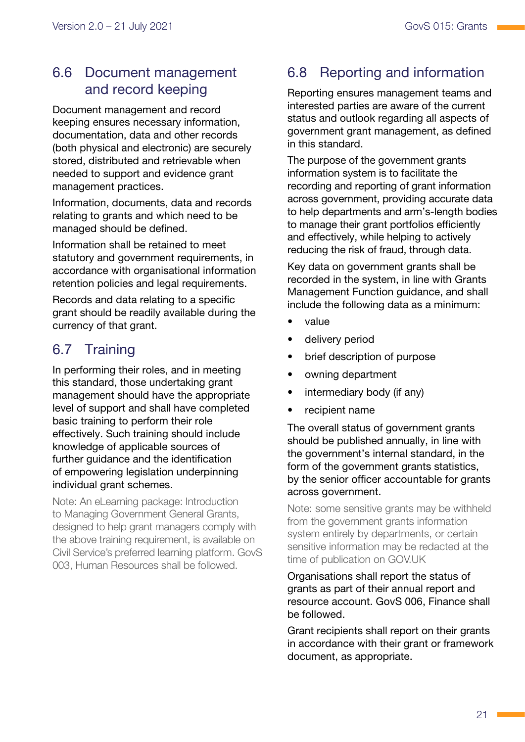### <span id="page-24-0"></span>6.6 Document management and record keeping

Document management and record keeping ensures necessary information, documentation, data and other records (both physical and electronic) are securely stored, distributed and retrievable when needed to support and evidence grant management practices.

Information, documents, data and records relating to grants and which need to be managed should be defined.

Information shall be retained to meet statutory and government requirements, in accordance with organisational information retention policies and legal requirements.

Records and data relating to a specific grant should be readily available during the currency of that grant.

### 6.7 Training

In performing their roles, and in meeting this standard, those undertaking grant management should have the appropriate level of support and shall have completed basic training to perform their role effectively. Such training should include knowledge of applicable sources of further guidance and the identification of empowering legislation underpinning individual grant schemes.

Note: An eLearning package: Introduction to Managing Government General Grants, designed to help grant managers comply with the above training requirement, is available on Civil Service's preferred learning platform. GovS 003, Human Resources shall be followed.

### 6.8 Reporting and information

Reporting ensures management teams and interested parties are aware of the current status and outlook regarding all aspects of government grant management, as defined in this standard.

The purpose of the government grants information system is to facilitate the recording and reporting of grant information across government, providing accurate data to help departments and arm's-length bodies to manage their grant portfolios efficiently and effectively, while helping to actively reducing the risk of fraud, through data.

Key data on government grants shall be recorded in the system, in line with Grants Management Function guidance, and shall include the following data as a minimum:

- value
- delivery period
- brief description of purpose
- owning department
- intermediary body (if any)
- recipient name

The overall status of government grants should be published annually, in line with the government's internal standard, in the form of the government grants statistics, by the senior officer accountable for grants across government.

Note: some sensitive grants may be withheld from the government grants information system entirely by departments, or certain sensitive information may be redacted at the time of publication on GOV.UK

Organisations shall report the status of grants as part of their annual report and resource account. GovS 006, Finance shall be followed.

Grant recipients shall report on their grants in accordance with their grant or framework document, as appropriate.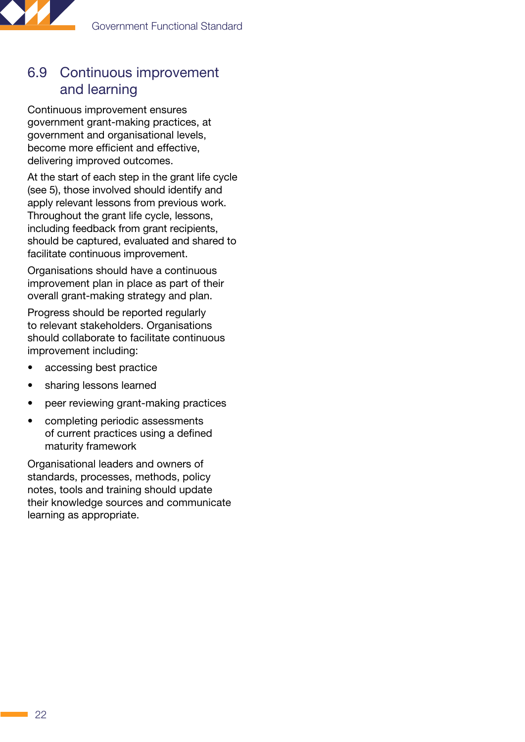<span id="page-25-0"></span>

### 6.9 Continuous improvement and learning

Continuous improvement ensures government grant-making practices, at government and organisational levels, become more efficient and effective, delivering improved outcomes.

At the start of each step in the grant life cycle [\(see 5\)](#page-16-1), those involved should identify and apply relevant lessons from previous work. Throughout the grant life cycle, lessons, including feedback from grant recipients, should be captured, evaluated and shared to facilitate continuous improvement.

Organisations should have a continuous improvement plan in place as part of their overall grant-making strategy and plan.

Progress should be reported regularly to relevant stakeholders. Organisations should collaborate to facilitate continuous improvement including:

- accessing best practice
- sharing lessons learned
- peer reviewing grant-making practices
- completing periodic assessments of current practices using a defined maturity framework

Organisational leaders and owners of standards, processes, methods, policy notes, tools and training should update their knowledge sources and communicate learning as appropriate.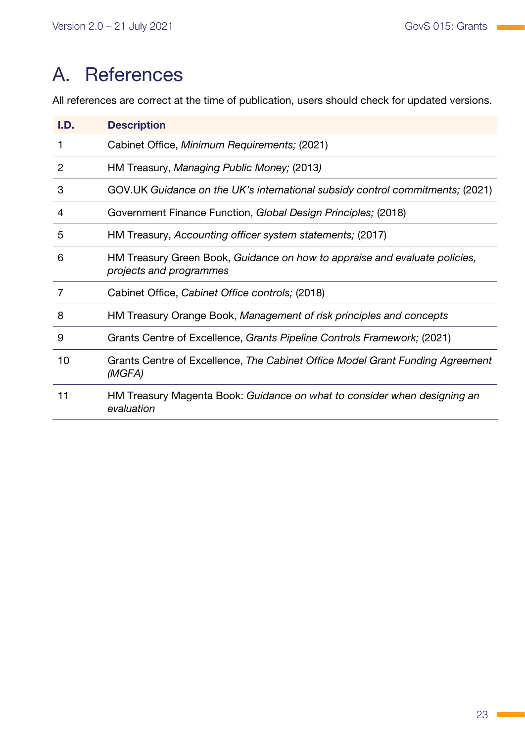# <span id="page-26-0"></span>A. References

All references are correct at the time of publication, users should check for updated versions.

| I.D. | <b>Description</b>                                                                                    |
|------|-------------------------------------------------------------------------------------------------------|
| 1    | Cabinet Office, Minimum Requirements; (2021)                                                          |
| 2    | HM Treasury, Managing Public Money; (2013)                                                            |
| 3    | GOV.UK Guidance on the UK's international subsidy control commitments; (2021)                         |
| 4    | Government Finance Function, Global Design Principles; (2018)                                         |
| 5    | HM Treasury, Accounting officer system statements; (2017)                                             |
| 6    | HM Treasury Green Book, Guidance on how to appraise and evaluate policies,<br>projects and programmes |
| 7    | Cabinet Office, Cabinet Office controls; (2018)                                                       |
| 8    | HM Treasury Orange Book, Management of risk principles and concepts                                   |
| 9    | Grants Centre of Excellence, Grants Pipeline Controls Framework; (2021)                               |
| 10   | Grants Centre of Excellence, The Cabinet Office Model Grant Funding Agreement<br>(MGFA)               |
| 11   | HM Treasury Magenta Book: Guidance on what to consider when designing an<br>evaluation                |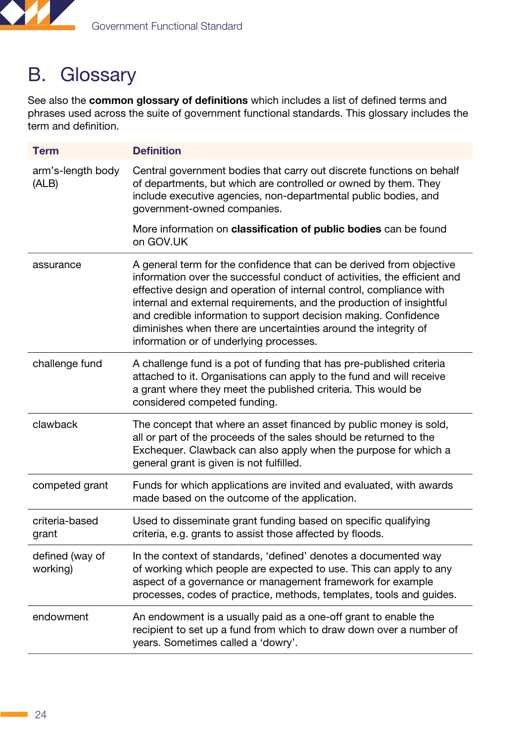<span id="page-27-0"></span>

# B. Glossary

See also the [common glossary of definitions](https://www.gov.uk/government/publications/functional-standards-common-glossary) which includes a list of defined terms and phrases used across the suite of government functional standards. This glossary includes the term and definition.

| <b>Term</b>                 | <b>Definition</b>                                                                                                                                                                                                                                                                                                                                                                                                                                                                |
|-----------------------------|----------------------------------------------------------------------------------------------------------------------------------------------------------------------------------------------------------------------------------------------------------------------------------------------------------------------------------------------------------------------------------------------------------------------------------------------------------------------------------|
| arm's-length body<br>(ALB)  | Central government bodies that carry out discrete functions on behalf<br>of departments, but which are controlled or owned by them. They<br>include executive agencies, non-departmental public bodies, and<br>government-owned companies.                                                                                                                                                                                                                                       |
|                             | More information on classification of public bodies can be found<br>on GOV.UK                                                                                                                                                                                                                                                                                                                                                                                                    |
| assurance                   | A general term for the confidence that can be derived from objective<br>information over the successful conduct of activities, the efficient and<br>effective design and operation of internal control, compliance with<br>internal and external requirements, and the production of insightful<br>and credible information to support decision making. Confidence<br>diminishes when there are uncertainties around the integrity of<br>information or of underlying processes. |
| challenge fund              | A challenge fund is a pot of funding that has pre-published criteria<br>attached to it. Organisations can apply to the fund and will receive<br>a grant where they meet the published criteria. This would be<br>considered competed funding.                                                                                                                                                                                                                                    |
| clawback                    | The concept that where an asset financed by public money is sold,<br>all or part of the proceeds of the sales should be returned to the<br>Exchequer. Clawback can also apply when the purpose for which a<br>general grant is given is not fulfilled.                                                                                                                                                                                                                           |
| competed grant              | Funds for which applications are invited and evaluated, with awards<br>made based on the outcome of the application.                                                                                                                                                                                                                                                                                                                                                             |
| criteria-based<br>grant     | Used to disseminate grant funding based on specific qualifying<br>criteria, e.g. grants to assist those affected by floods.                                                                                                                                                                                                                                                                                                                                                      |
| defined (way of<br>working) | In the context of standards, 'defined' denotes a documented way<br>of working which people are expected to use. This can apply to any<br>aspect of a governance or management framework for example<br>processes, codes of practice, methods, templates, tools and guides.                                                                                                                                                                                                       |
| endowment                   | An endowment is a usually paid as a one-off grant to enable the<br>recipient to set up a fund from which to draw down over a number of<br>years. Sometimes called a 'dowry'.                                                                                                                                                                                                                                                                                                     |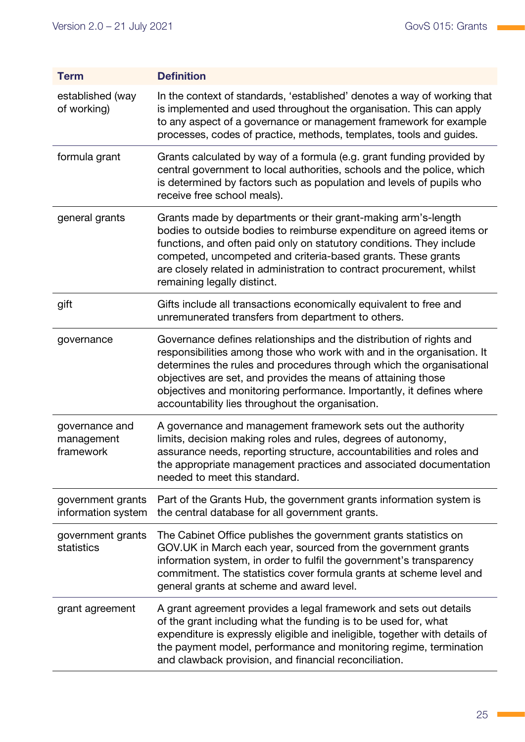| <b>Term</b>                               | <b>Definition</b>                                                                                                                                                                                                                                                                                                                                                                                                  |
|-------------------------------------------|--------------------------------------------------------------------------------------------------------------------------------------------------------------------------------------------------------------------------------------------------------------------------------------------------------------------------------------------------------------------------------------------------------------------|
| established (way<br>of working)           | In the context of standards, 'established' denotes a way of working that<br>is implemented and used throughout the organisation. This can apply<br>to any aspect of a governance or management framework for example<br>processes, codes of practice, methods, templates, tools and guides.                                                                                                                        |
| formula grant                             | Grants calculated by way of a formula (e.g. grant funding provided by<br>central government to local authorities, schools and the police, which<br>is determined by factors such as population and levels of pupils who<br>receive free school meals).                                                                                                                                                             |
| general grants                            | Grants made by departments or their grant-making arm's-length<br>bodies to outside bodies to reimburse expenditure on agreed items or<br>functions, and often paid only on statutory conditions. They include<br>competed, uncompeted and criteria-based grants. These grants<br>are closely related in administration to contract procurement, whilst<br>remaining legally distinct.                              |
| gift                                      | Gifts include all transactions economically equivalent to free and<br>unremunerated transfers from department to others.                                                                                                                                                                                                                                                                                           |
| governance                                | Governance defines relationships and the distribution of rights and<br>responsibilities among those who work with and in the organisation. It<br>determines the rules and procedures through which the organisational<br>objectives are set, and provides the means of attaining those<br>objectives and monitoring performance. Importantly, it defines where<br>accountability lies throughout the organisation. |
| governance and<br>management<br>framework | A governance and management framework sets out the authority<br>limits, decision making roles and rules, degrees of autonomy,<br>assurance needs, reporting structure, accountabilities and roles and<br>the appropriate management practices and associated documentation<br>needed to meet this standard.                                                                                                        |
| government grants<br>information system   | Part of the Grants Hub, the government grants information system is<br>the central database for all government grants.                                                                                                                                                                                                                                                                                             |
| government grants<br>statistics           | The Cabinet Office publishes the government grants statistics on<br>GOV.UK in March each year, sourced from the government grants<br>information system, in order to fulfil the government's transparency<br>commitment. The statistics cover formula grants at scheme level and<br>general grants at scheme and award level.                                                                                      |
| grant agreement                           | A grant agreement provides a legal framework and sets out details<br>of the grant including what the funding is to be used for, what<br>expenditure is expressly eligible and ineligible, together with details of<br>the payment model, performance and monitoring regime, termination<br>and clawback provision, and financial reconciliation.                                                                   |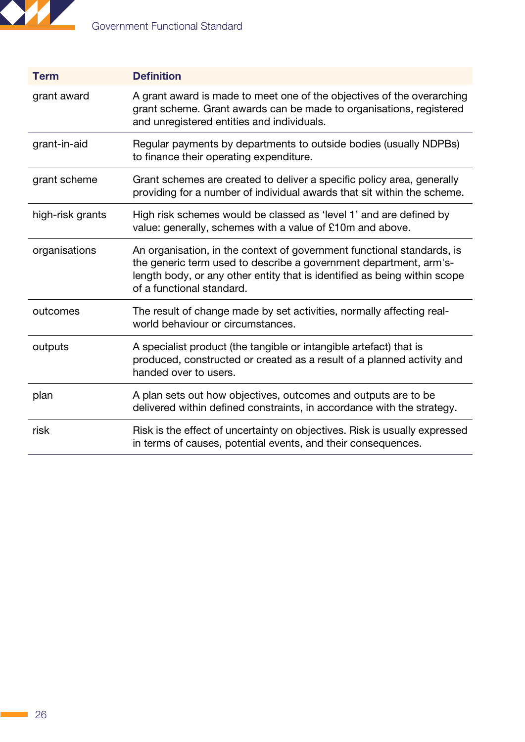

| <b>Term</b>      | <b>Definition</b>                                                                                                                                                                                                                                     |
|------------------|-------------------------------------------------------------------------------------------------------------------------------------------------------------------------------------------------------------------------------------------------------|
| grant award      | A grant award is made to meet one of the objectives of the overarching<br>grant scheme. Grant awards can be made to organisations, registered<br>and unregistered entities and individuals.                                                           |
| grant-in-aid     | Regular payments by departments to outside bodies (usually NDPBs)<br>to finance their operating expenditure.                                                                                                                                          |
| grant scheme     | Grant schemes are created to deliver a specific policy area, generally<br>providing for a number of individual awards that sit within the scheme.                                                                                                     |
| high-risk grants | High risk schemes would be classed as 'level 1' and are defined by<br>value: generally, schemes with a value of £10m and above.                                                                                                                       |
| organisations    | An organisation, in the context of government functional standards, is<br>the generic term used to describe a government department, arm's-<br>length body, or any other entity that is identified as being within scope<br>of a functional standard. |
| outcomes         | The result of change made by set activities, normally affecting real-<br>world behaviour or circumstances.                                                                                                                                            |
| outputs          | A specialist product (the tangible or intangible artefact) that is<br>produced, constructed or created as a result of a planned activity and<br>handed over to users.                                                                                 |
| plan             | A plan sets out how objectives, outcomes and outputs are to be<br>delivered within defined constraints, in accordance with the strategy.                                                                                                              |
| risk             | Risk is the effect of uncertainty on objectives. Risk is usually expressed<br>in terms of causes, potential events, and their consequences.                                                                                                           |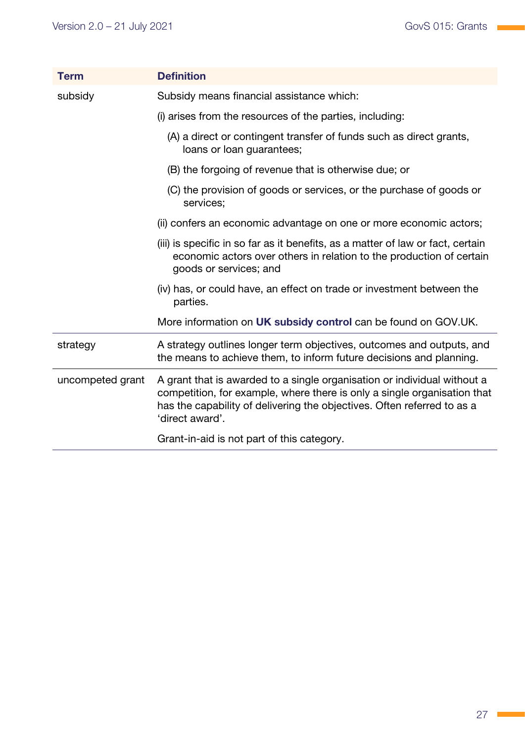| <b>Term</b>      | <b>Definition</b>                                                                                                                                                                                                                                  |
|------------------|----------------------------------------------------------------------------------------------------------------------------------------------------------------------------------------------------------------------------------------------------|
| subsidy          | Subsidy means financial assistance which:                                                                                                                                                                                                          |
|                  | (i) arises from the resources of the parties, including:                                                                                                                                                                                           |
|                  | (A) a direct or contingent transfer of funds such as direct grants,<br>loans or loan guarantees;                                                                                                                                                   |
|                  | (B) the forgoing of revenue that is otherwise due; or                                                                                                                                                                                              |
|                  | (C) the provision of goods or services, or the purchase of goods or<br>services;                                                                                                                                                                   |
|                  | (ii) confers an economic advantage on one or more economic actors;                                                                                                                                                                                 |
|                  | (iii) is specific in so far as it benefits, as a matter of law or fact, certain<br>economic actors over others in relation to the production of certain<br>goods or services; and                                                                  |
|                  | (iv) has, or could have, an effect on trade or investment between the<br>parties.                                                                                                                                                                  |
|                  | More information on UK subsidy control can be found on GOV.UK.                                                                                                                                                                                     |
| strategy         | A strategy outlines longer term objectives, outcomes and outputs, and<br>the means to achieve them, to inform future decisions and planning.                                                                                                       |
| uncompeted grant | A grant that is awarded to a single organisation or individual without a<br>competition, for example, where there is only a single organisation that<br>has the capability of delivering the objectives. Often referred to as a<br>'direct award'. |
|                  | Grant-in-aid is not part of this category.                                                                                                                                                                                                         |